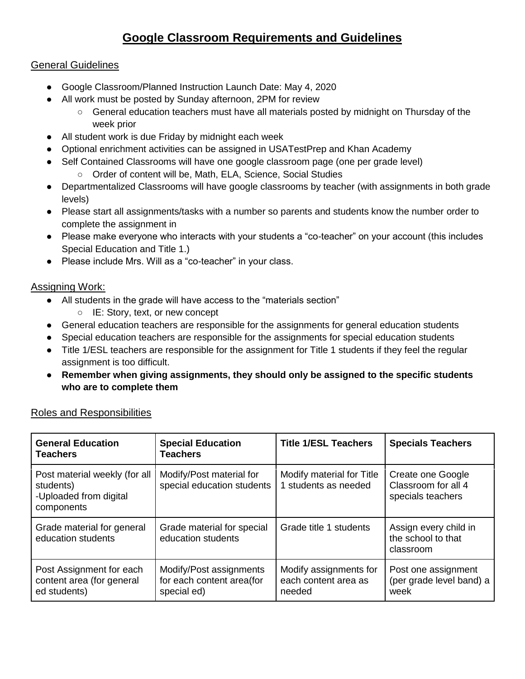# **Google Classroom Requirements and Guidelines**

### General Guidelines

- Google Classroom/Planned Instruction Launch Date: May 4, 2020
- All work must be posted by Sunday afternoon, 2PM for review
	- General education teachers must have all materials posted by midnight on Thursday of the week prior
- All student work is due Friday by midnight each week
- Optional enrichment activities can be assigned in USATestPrep and Khan Academy
- Self Contained Classrooms will have one google classroom page (one per grade level)
	- Order of content will be, Math, ELA, Science, Social Studies
- Departmentalized Classrooms will have google classrooms by teacher (with assignments in both grade levels)
- Please start all assignments/tasks with a number so parents and students know the number order to complete the assignment in
- Please make everyone who interacts with your students a "co-teacher" on your account (this includes Special Education and Title 1.)
- Please include Mrs. Will as a "co-teacher" in your class.

#### Assigning Work:

- All students in the grade will have access to the "materials section"
	- IE: Story, text, or new concept
- General education teachers are responsible for the assignments for general education students
- Special education teachers are responsible for the assignments for special education students
- Title 1/ESL teachers are responsible for the assignment for Title 1 students if they feel the regular assignment is too difficult.
- **Remember when giving assignments, they should only be assigned to the specific students who are to complete them**

| <b>General Education</b><br><b>Teachers</b>                                        | <b>Special Education</b><br><b>Teachers</b>                         | <b>Title 1/ESL Teachers</b>                              | <b>Specials Teachers</b>                                      |
|------------------------------------------------------------------------------------|---------------------------------------------------------------------|----------------------------------------------------------|---------------------------------------------------------------|
| Post material weekly (for all<br>students)<br>-Uploaded from digital<br>components | Modify/Post material for<br>special education students              | Modify material for Title<br>1 students as needed        | Create one Google<br>Classroom for all 4<br>specials teachers |
| Grade material for general<br>education students                                   | Grade material for special<br>education students                    | Grade title 1 students                                   | Assign every child in<br>the school to that<br>classroom      |
| Post Assignment for each<br>content area (for general<br>ed students)              | Modify/Post assignments<br>for each content area(for<br>special ed) | Modify assignments for<br>each content area as<br>needed | Post one assignment<br>(per grade level band) a<br>week       |

### Roles and Responsibilities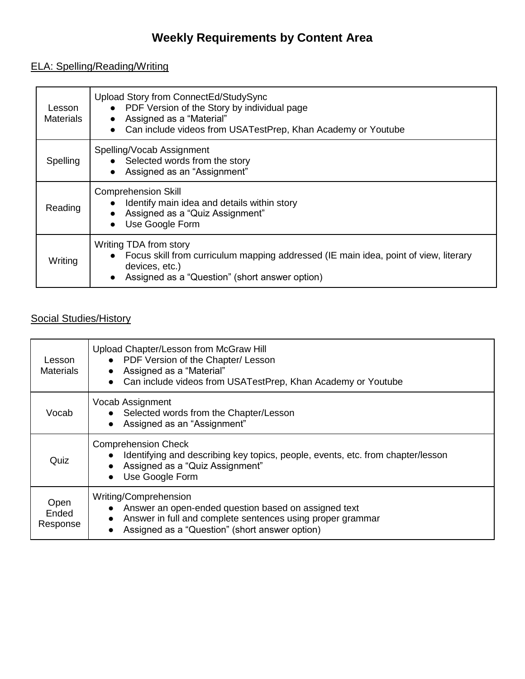# **Weekly Requirements by Content Area**

# ELA: Spelling/Reading/Writing

| Lesson<br><b>Materials</b> | Upload Story from ConnectEd/StudySync<br>PDF Version of the Story by individual page<br>$\bullet$<br>Assigned as a "Material"<br>$\bullet$<br>Can include videos from USATestPrep, Khan Academy or Youtube<br>$\bullet$ |
|----------------------------|-------------------------------------------------------------------------------------------------------------------------------------------------------------------------------------------------------------------------|
| Spelling                   | Spelling/Vocab Assignment<br>• Selected words from the story<br>Assigned as an "Assignment"                                                                                                                             |
| Reading                    | <b>Comprehension Skill</b><br>Identify main idea and details within story<br>Assigned as a "Quiz Assignment"<br>Use Google Form                                                                                         |
| Writing                    | Writing TDA from story<br>Focus skill from curriculum mapping addressed (IE main idea, point of view, literary<br>devices, etc.)<br>Assigned as a "Question" (short answer option)<br>$\bullet$                         |

# Social Studies/History

| Lesson<br><b>Materials</b> | Upload Chapter/Lesson from McGraw Hill<br>PDF Version of the Chapter/ Lesson<br>Assigned as a "Material"<br>Can include videos from USATestPrep, Khan Academy or Youtube<br>$\bullet$         |
|----------------------------|-----------------------------------------------------------------------------------------------------------------------------------------------------------------------------------------------|
| Vocab                      | Vocab Assignment<br>• Selected words from the Chapter/Lesson<br>Assigned as an "Assignment"                                                                                                   |
| Quiz                       | <b>Comprehension Check</b><br>Identifying and describing key topics, people, events, etc. from chapter/lesson<br>Assigned as a "Quiz Assignment"<br>Use Google Form                           |
| Open<br>Ended<br>Response  | Writing/Comprehension<br>Answer an open-ended question based on assigned text<br>Answer in full and complete sentences using proper grammar<br>Assigned as a "Question" (short answer option) |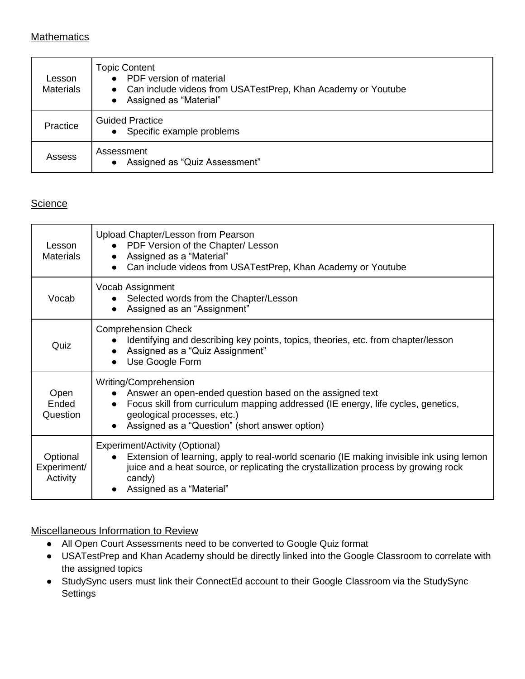## **Mathematics**

| Lesson<br><b>Materials</b> | <b>Topic Content</b><br>• PDF version of material<br>• Can include videos from USATestPrep, Khan Academy or Youtube<br>Assigned as "Material"<br>$\bullet$ |
|----------------------------|------------------------------------------------------------------------------------------------------------------------------------------------------------|
| Practice                   | <b>Guided Practice</b><br>• Specific example problems                                                                                                      |
| Assess                     | Assessment<br>Assigned as "Quiz Assessment"<br>$\bullet$                                                                                                   |

# **Science**

| Lesson<br><b>Materials</b>          | Upload Chapter/Lesson from Pearson<br>PDF Version of the Chapter/ Lesson<br>Assigned as a "Material"<br>$\bullet$<br>Can include videos from USATestPrep, Khan Academy or Youtube<br>$\bullet$                                                                       |
|-------------------------------------|----------------------------------------------------------------------------------------------------------------------------------------------------------------------------------------------------------------------------------------------------------------------|
| Vocab                               | Vocab Assignment<br>• Selected words from the Chapter/Lesson<br>Assigned as an "Assignment"<br>$\bullet$                                                                                                                                                             |
| Quiz                                | <b>Comprehension Check</b><br>Identifying and describing key points, topics, theories, etc. from chapter/lesson<br>Assigned as a "Quiz Assignment"<br>$\bullet$<br>Use Google Form<br>$\bullet$                                                                      |
| Open<br>Ended<br>Question           | Writing/Comprehension<br>Answer an open-ended question based on the assigned text<br>Focus skill from curriculum mapping addressed (IE energy, life cycles, genetics,<br>$\bullet$<br>geological processes, etc.)<br>Assigned as a "Question" (short answer option)  |
| Optional<br>Experiment/<br>Activity | Experiment/Activity (Optional)<br>Extension of learning, apply to real-world scenario (IE making invisible ink using lemon<br>$\bullet$<br>juice and a heat source, or replicating the crystallization process by growing rock<br>candy)<br>Assigned as a "Material" |

#### Miscellaneous Information to Review

- All Open Court Assessments need to be converted to Google Quiz format
- USATestPrep and Khan Academy should be directly linked into the Google Classroom to correlate with the assigned topics
- StudySync users must link their ConnectEd account to their Google Classroom via the StudySync **Settings**